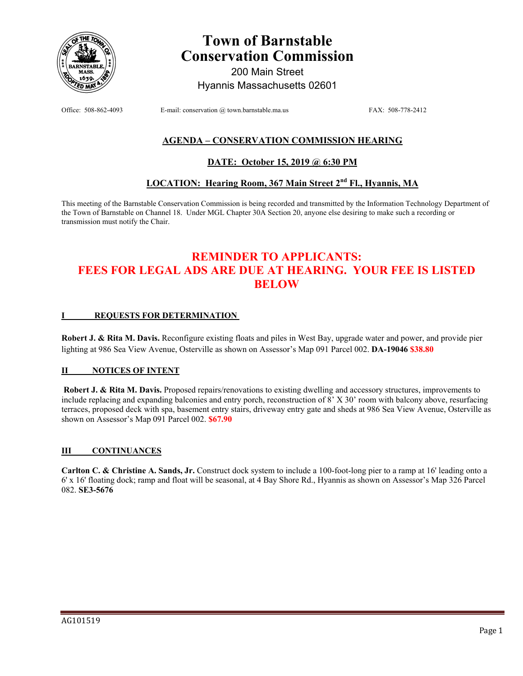

# **Town of Barnstable Conservation Commission**

200 Main Street Hyannis Massachusetts 02601

Office: 508-862-4093 E-mail: conservation @ town.barnstable.ma.us FAX: 508-778-2412

### **AGENDA – CONSERVATION COMMISSION HEARING**

#### **DATE: October 15, 2019 @ 6:30 PM**

### **LOCATION: Hearing Room, 367 Main Street 2nd Fl., Hyannis, MA**

This meeting of the Barnstable Conservation Commission is being recorded and transmitted by the Information Technology Department of the Town of Barnstable on Channel 18. Under MGL Chapter 30A Section 20, anyone else desiring to make such a recording or transmission must notify the Chair.

## **REMINDER TO APPLICANTS: FEES FOR LEGAL ADS ARE DUE AT HEARING. YOUR FEE IS LISTED BELOW**

#### **I REQUESTS FOR DETERMINATION**

**Robert J. & Rita M. Davis.** Reconfigure existing floats and piles in West Bay, upgrade water and power, and provide pier lighting at 986 Sea View Avenue, Osterville as shown on Assessor's Map 091 Parcel 002. **DA-19046 \$38.80** 

#### **II NOTICES OF INTENT**

 **Robert J. & Rita M. Davis.** Proposed repairs/renovations to existing dwelling and accessory structures, improvements to include replacing and expanding balconies and entry porch, reconstruction of 8' X 30' room with balcony above, resurfacing terraces, proposed deck with spa, basement entry stairs, driveway entry gate and sheds at 986 Sea View Avenue, Osterville as shown on Assessor's Map 091 Parcel 002. **\$67.90**

#### **III CONTINUANCES**

**Carlton C. & Christine A. Sands, Jr.** Construct dock system to include a 100-foot-long pier to a ramp at 16' leading onto a 6' x 16' floating dock; ramp and float will be seasonal, at 4 Bay Shore Rd., Hyannis as shown on Assessor's Map 326 Parcel 082. **SE3-5676**